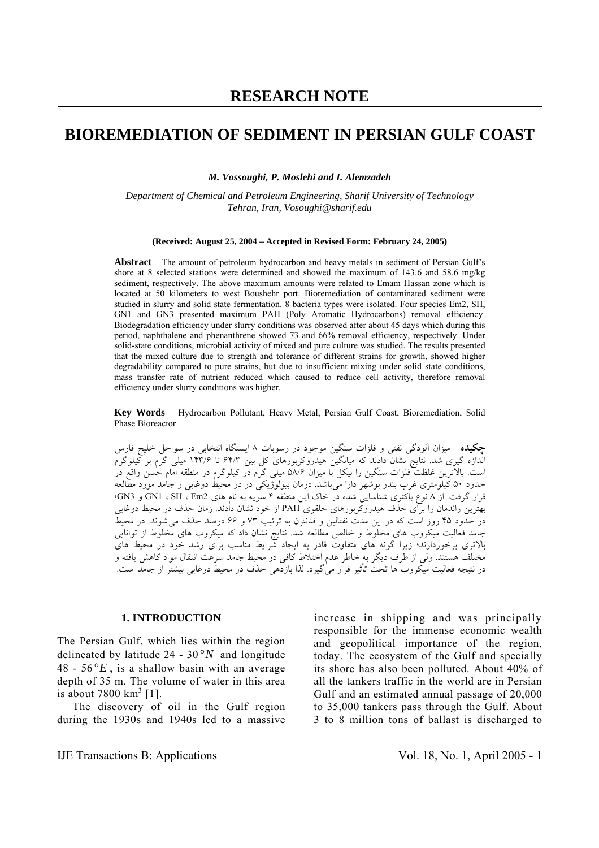# **RESEARCH NOTE**

# **BIOREMEDIATION OF SEDIMENT IN PERSIAN GULF COAST**

*M. Vossoughi, P. Moslehi and I. Alemzadeh* 

*Department of Chemical and Petroleum Engineering, Sharif University of Technology Tehran, Iran, Vosoughi@sharif.edu*

#### **(Received: August 25, 2004 – Accepted in Revised Form: February 24, 2005)**

**Abstract** The amount of petroleum hydrocarbon and heavy metals in sediment of Persian Gulf's shore at 8 selected stations were determined and showed the maximum of 143.6 and 58.6 mg/kg sediment, respectively. The above maximum amounts were related to Emam Hassan zone which is located at 50 kilometers to west Boushehr port. Bioremediation of contaminated sediment were studied in slurry and solid state fermentation. 8 bacteria types were isolated. Four species Em2, SH, GN1 and GN3 presented maximum PAH (Poly Aromatic Hydrocarbons) removal efficiency. Biodegradation efficiency under slurry conditions was observed after about 45 days which during this period, naphthalene and phenanthrene showed 73 and 66% removal efficiency, respectively. Under solid-state conditions, microbial activity of mixed and pure culture was studied. The results presented that the mixed culture due to strength and tolerance of different strains for growth, showed higher degradability compared to pure strains, but due to insufficient mixing under solid state conditions, mass transfer rate of nutrient reduced which caused to reduce cell activity, therefore removal efficiency under slurry conditions was higher.

**Key Words** Hydrocarbon Pollutant, Heavy Metal, Persian Gulf Coast, Bioremediation, Solid Phase Bioreactor

**چکيده** ميزان آلودگی نفتی و فلزات سنگين موجود در رسوبات ۸ ايستگاه انتخابی در سواحل خليج فارس اندازه گيری شد. نتايج نشان دادند که ميانگين هيدروکربورهای کل بين ۶۴/۳ تا ۱۴۳/۶ ميلی گرم بر کيلوگرم است. بالاترين غلظت فلزات سنگين را نيکل با ميزان ۵۸/۶ ميلی گرم در کيلوگرم در منطقه امام حسن واقع در حدود ۵۰ کيلومتری غرب بندر بوشهر دارا میباشد. درمان بيولوژيکی در دو محيط دوغابی و جامد مورد مطالعه قرار گرفت. از ۸ نوع باکتری شناسايي شده در خاک اين منطقه ۴ سويه به نام های 2Em ، SH ، 1GN و 3GN، بهترين راندمان را برای حذف هيدروکربورهای حلقوی PAH از خود نشان دادند. زمان حذف در محيط دوغابی در حدود ۴۵ روز است که در اين مدت نفتالين و فنانترن به ترتيب ۷۳ و ۶۶ درصد حذف میشوند. در محيط جامد فعاليت ميکروب های مخلوط و خالص مطالعه شد. نتايج نشان داد که ميکروب های مخلوط از توانايي بالاتری برخوردارند؛ زيرا گونه های متفاوت قادر به ايجاد شرايط مناسب برای رشد خود در محيط های مختلف هستند. ولی از طرف ديگر به خاطر عدم اختلاط کافی در محيط جامد سرعت انتقال مواد کاهش يافته و در نتيجه فعاليت ميکروب ها تحت تأثير قرار میگيرد. لذا بازدهی حذف در محيط دوغابی بيشتر از جامد است.

#### **1. INTRODUCTION**

The Persian Gulf, which lies within the region delineated by latitude 24 - 30 °*N* and longitude  $48 - 56^{\circ}E$ , is a shallow basin with an average depth of 35 m. The volume of water in this area is about  $7800 \text{ km}^3$  [1].

 The discovery of oil in the Gulf region during the 1930s and 1940s led to a massive increase in shipping and was principally responsible for the immense economic wealth and geopolitical importance of the region, today. The ecosystem of the Gulf and specially its shore has also been polluted. About 40% of all the tankers traffic in the world are in Persian Gulf and an estimated annual passage of 20,000 to 35,000 tankers pass through the Gulf. About 3 to 8 million tons of ballast is discharged to

IJE Transactions B: Applications Vol. 18, No. 1, April 2005 - 1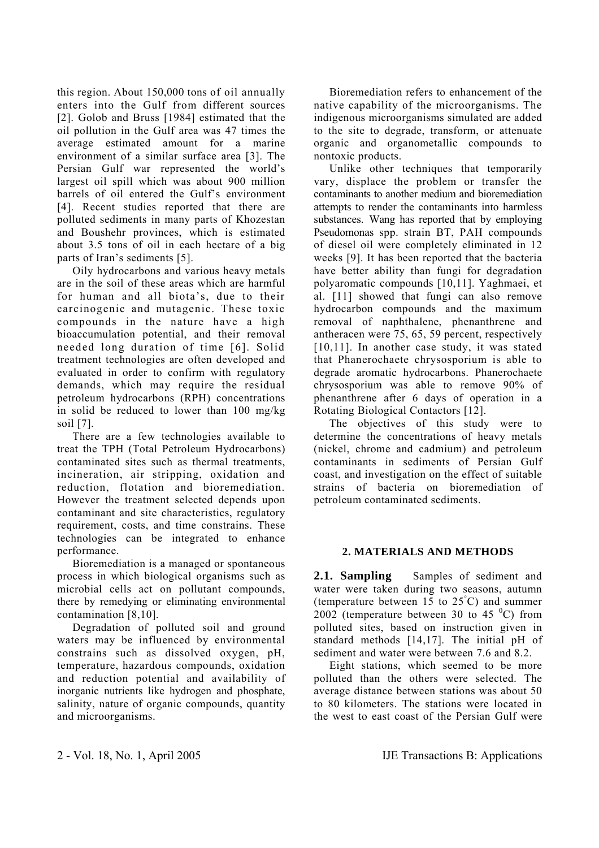this region. About 150,000 tons of oil annually enters into the Gulf from different sources [2]. Golob and Bruss [1984] estimated that the oil pollution in the Gulf area was 47 times the average estimated amount for a marine environment of a similar surface area [3]. The Persian Gulf war represented the world's largest oil spill which was about 900 million barrels of oil entered the Gulf's environment [4]. Recent studies reported that there are polluted sediments in many parts of Khozestan and Boushehr provinces, which is estimated about 3.5 tons of oil in each hectare of a big parts of Iran's sediments [5].

 Oily hydrocarbons and various heavy metals are in the soil of these areas which are harmful for human and all biota's, due to their carcinogenic and mutagenic. These toxic compounds in the nature have a high bioaccumulation potential, and their removal needed long duration of time [6]. Solid treatment technologies are often developed and evaluated in order to confirm with regulatory demands, which may require the residual petroleum hydrocarbons (RPH) concentrations in solid be reduced to lower than 100 mg/kg soil [7].

 There are a few technologies available to treat the TPH (Total Petroleum Hydrocarbons) contaminated sites such as thermal treatments, incineration, air stripping, oxidation and reduction, flotation and bioremediation. However the treatment selected depends upon contaminant and site characteristics, regulatory requirement, costs, and time constrains. These technologies can be integrated to enhance performance.

 Bioremediation is a managed or spontaneous process in which biological organisms such as microbial cells act on pollutant compounds, there by remedying or eliminating environmental contamination [8,10].

 Degradation of polluted soil and ground waters may be influenced by environmental constrains such as dissolved oxygen, pH, temperature, hazardous compounds, oxidation and reduction potential and availability of inorganic nutrients like hydrogen and phosphate, salinity, nature of organic compounds, quantity and microorganisms.

 Bioremediation refers to enhancement of the native capability of the microorganisms. The indigenous microorganisms simulated are added to the site to degrade, transform, or attenuate organic and organometallic compounds to nontoxic products.

 Unlike other techniques that temporarily vary, displace the problem or transfer the contaminants to another medium and bioremediation attempts to render the contaminants into harmless substances. Wang has reported that by employing Pseudomonas spp. strain BT, PAH compounds of diesel oil were completely eliminated in 12 weeks [9]. It has been reported that the bacteria have better ability than fungi for degradation polyaromatic compounds [10,11]. Yaghmaei, et al. [11] showed that fungi can also remove hydrocarbon compounds and the maximum removal of naphthalene, phenanthrene and antheracen were 75, 65, 59 percent, respectively [10,11]. In another case study, it was stated that Phanerochaete chrysosporium is able to degrade aromatic hydrocarbons. Phanerochaete chrysosporium was able to remove 90% of phenanthrene after 6 days of operation in a Rotating Biological Contactors [12].

 The objectives of this study were to determine the concentrations of heavy metals (nickel, chrome and cadmium) and petroleum contaminants in sediments of Persian Gulf coast, and investigation on the effect of suitable strains of bacteria on bioremediation of petroleum contaminated sediments.

# **2. MATERIALS AND METHODS**

2.1. **Sampling** Samples of sediment and water were taken during two seasons, autumn (temperature between 15 to  $25^{\circ}$ C) and summer  $2002$  (temperature between 30 to 45 °C) from polluted sites, based on instruction given in standard methods [14,17]. The initial pH of sediment and water were between 7.6 and 8.2.

 Eight stations, which seemed to be more polluted than the others were selected. The average distance between stations was about 50 to 80 kilometers. The stations were located in the west to east coast of the Persian Gulf were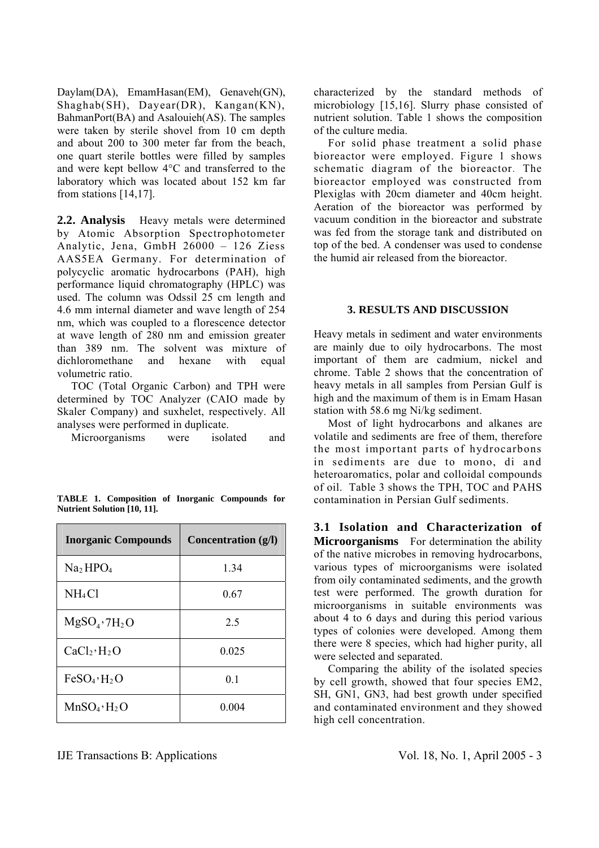Daylam(DA), EmamHasan(EM), Genaveh(GN), Shaghab(SH), Dayear(DR), Kangan(KN), BahmanPort(BA) and Asalouieh(AS). The samples were taken by sterile shovel from 10 cm depth and about 200 to 300 meter far from the beach, one quart sterile bottles were filled by samples and were kept bellow 4°C and transferred to the laboratory which was located about 152 km far from stations [14,17].

**2.2. Analysis** Heavy metals were determined by Atomic Absorption Spectrophotometer Analytic, Jena, GmbH 26000 – 126 Ziess AAS5EA Germany. For determination of polycyclic aromatic hydrocarbons (PAH), high performance liquid chromatography (HPLC) was used. The column was Odssil 25 cm length and 4.6 mm internal diameter and wave length of 254 nm, which was coupled to a florescence detector at wave length of 280 nm and emission greater than 389 nm. The solvent was mixture of dichloromethane and hexane with equal volumetric ratio.

 TOC (Total Organic Carbon) and TPH were determined by TOC Analyzer (CAIO made by Skaler Company) and suxhelet, respectively. All analyses were performed in duplicate.

Microorganisms were isolated and

|  | <b>TABLE 1. Composition of Inorganic Compounds for</b> |  |  |
|--|--------------------------------------------------------|--|--|
|  | <b>Nutrient Solution [10, 11].</b>                     |  |  |
|  |                                                        |  |  |

| <b>Inorganic Compounds</b>          | Concentration (g/l) |
|-------------------------------------|---------------------|
| Na <sub>2</sub> HPO <sub>4</sub>    | 1.34                |
| NH <sub>4</sub> Cl                  | 0.67                |
| $MgSOa$ , 7H <sub>2</sub> O         | 2.5                 |
| CaCl <sub>2</sub> ·H <sub>2</sub> O | 0.025               |
| FeSO <sub>4</sub> ·H <sub>2</sub> O | 0.1                 |
| MnSO <sub>4</sub> ·H <sub>2</sub> O | 0.004               |

characterized by the standard methods of microbiology [15,16]. Slurry phase consisted of nutrient solution. Table 1 shows the composition of the culture media.

 For solid phase treatment a solid phase bioreactor were employed. Figure 1 shows schematic diagram of the bioreactor. The bioreactor employed was constructed from Plexiglas with 20cm diameter and 40cm height. Aeration of the bioreactor was performed by vacuum condition in the bioreactor and substrate was fed from the storage tank and distributed on top of the bed. A condenser was used to condense the humid air released from the bioreactor.

## **3. RESULTS AND DISCUSSION**

Heavy metals in sediment and water environments are mainly due to oily hydrocarbons. The most important of them are cadmium, nickel and chrome. Table 2 shows that the concentration of heavy metals in all samples from Persian Gulf is high and the maximum of them is in Emam Hasan station with 58.6 mg Ni/kg sediment.

 Most of light hydrocarbons and alkanes are volatile and sediments are free of them, therefore the most important parts of hydrocarbons in sediments are due to mono, di and heteroaromatics, polar and colloidal compounds of oil. Table 3 shows the TPH, TOC and PAHS contamination in Persian Gulf sediments.

**3.1 Isolation and Characterization of Microorganisms** For determination the ability of the native microbes in removing hydrocarbons, various types of microorganisms were isolated from oily contaminated sediments, and the growth test were performed. The growth duration for microorganisms in suitable environments was about 4 to 6 days and during this period various types of colonies were developed. Among them there were 8 species, which had higher purity, all were selected and separated.

 Comparing the ability of the isolated species by cell growth, showed that four species EM2, SH, GN1, GN3, had best growth under specified and contaminated environment and they showed high cell concentration.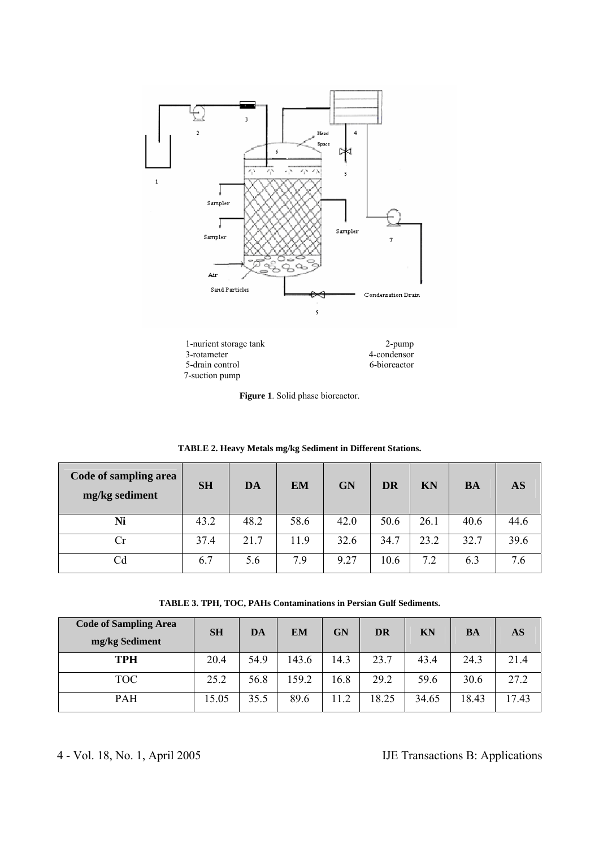

|  |  |  |  | Figure 1. Solid phase bioreactor. |
|--|--|--|--|-----------------------------------|
|--|--|--|--|-----------------------------------|

| Code of sampling area<br>mg/kg sediment | <b>SH</b> | DA   | <b>EM</b> | <b>GN</b> | <b>DR</b> | KN   | <b>BA</b> | AS   |
|-----------------------------------------|-----------|------|-----------|-----------|-----------|------|-----------|------|
| Ni                                      | 43.2      | 48.2 | 58.6      | 42.0      | 50.6      | 26.1 | 40.6      | 44.6 |
| Cr                                      | 37.4      | 21.7 | 11.9      | 32.6      | 34.7      | 23.2 | 32.7      | 39.6 |
| $\rm Cd$                                | 6.7       | 5.6  | 7.9       | 9.27      | 10.6      | 7.2  | 6.3       | 7.6  |

**TABLE 2. Heavy Metals mg/kg Sediment in Different Stations.** 

**TABLE 3. TPH, TOC, PAHs Contaminations in Persian Gulf Sediments.** 

| <b>Code of Sampling Area</b><br>mg/kg Sediment | <b>SH</b> | DA   | <b>EM</b> | GN   | <b>DR</b> | <b>KN</b> | BA    | AS    |
|------------------------------------------------|-----------|------|-----------|------|-----------|-----------|-------|-------|
| <b>TPH</b>                                     | 20.4      | 54.9 | 143.6     | 14.3 | 23.7      | 43.4      | 24.3  | 21.4  |
| TOC                                            | 25.2      | 56.8 | 159.2     | 16.8 | 29.2      | 59.6      | 30.6  | 27.2  |
| <b>PAH</b>                                     | 15.05     | 35.5 | 89.6      | 11.2 | 18.25     | 34.65     | 18.43 | 17.43 |

4 - Vol. 18, No. 1, April 2005 IJE Transactions B: Applications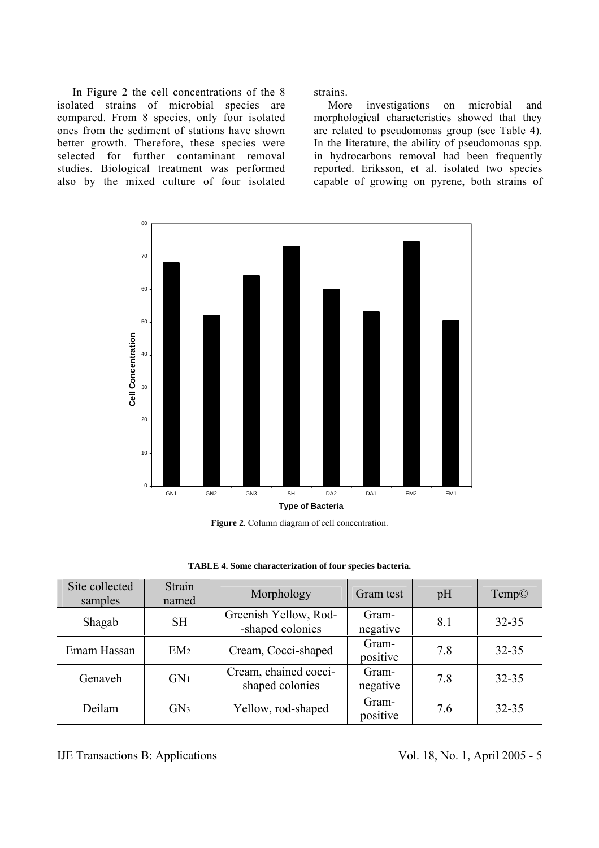In Figure 2 the cell concentrations of the 8 isolated strains of microbial species are compared. From 8 species, only four isolated ones from the sediment of stations have shown better growth. Therefore, these species were selected for further contaminant removal studies. Biological treatment was performed also by the mixed culture of four isolated

strains.

 More investigations on microbial and morphological characteristics showed that they are related to pseudomonas group (see Table 4). In the literature, the ability of pseudomonas spp. in hydrocarbons removal had been frequently reported. Eriksson, et al. isolated two species capable of growing on pyrene, both strains of



**Figure 2**. Column diagram of cell concentration.

| Site collected<br>samples | <b>Strain</b><br>named | Morphology                                | Gram test         | pH  | Temp©     |
|---------------------------|------------------------|-------------------------------------------|-------------------|-----|-----------|
| Shagab                    | <b>SH</b>              | Greenish Yellow, Rod-<br>-shaped colonies | Gram-<br>negative | 8.1 | $32 - 35$ |
| Emam Hassan               | EM <sub>2</sub>        | Cream, Cocci-shaped                       | Gram-<br>positive | 7.8 | $32 - 35$ |
| Genaveh                   | GN <sub>1</sub>        | Cream, chained cocci-<br>shaped colonies  | Gram-<br>negative | 7.8 | $32 - 35$ |
| Deilam                    | GN <sub>3</sub>        | Yellow, rod-shaped                        | Gram-<br>positive | 7.6 | $32 - 35$ |

IJE Transactions B: Applications Vol. 18, No. 1, April 2005 - 5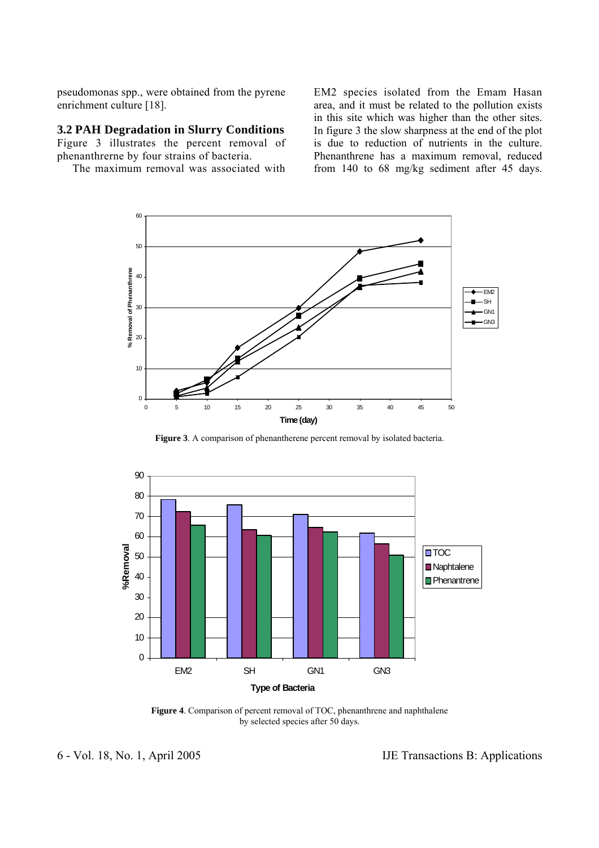pseudomonas spp., were obtained from the pyrene enrichment culture [18].

## **3.2 PAH Degradation in Slurry Conditions**

Figure 3 illustrates the percent removal of phenanthrerne by four strains of bacteria.

The maximum removal was associated with

EM2 species isolated from the Emam Hasan area, and it must be related to the pollution exists in this site which was higher than the other sites. In figure 3 the slow sharpness at the end of the plot is due to reduction of nutrients in the culture. Phenanthrene has a maximum removal, reduced from 140 to 68 mg/kg sediment after 45 days.



**Figure 3**. A comparison of phenantherene percent removal by isolated bacteria.



**Figure 4**. Comparison of percent removal of TOC, phenanthrene and naphthalene by selected species after 50 days.

6 - Vol. 18, No. 1, April 2005 IJE Transactions B: Applications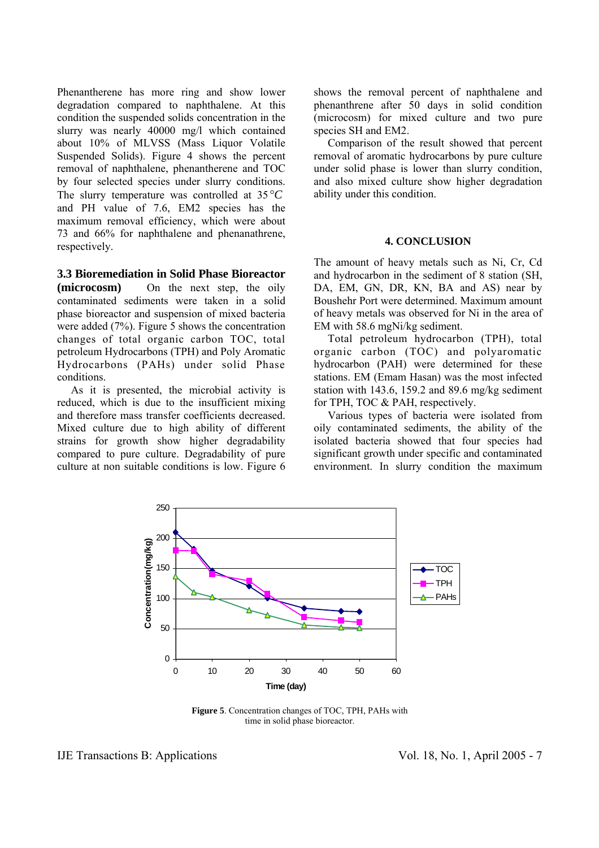Phenantherene has more ring and show lower degradation compared to naphthalene. At this condition the suspended solids concentration in the slurry was nearly 40000 mg/l which contained about 10% of MLVSS (Mass Liquor Volatile Suspended Solids). Figure 4 shows the percent removal of naphthalene, phenantherene and TOC by four selected species under slurry conditions. The slurry temperature was controlled at 35 °*C* and PH value of 7.6, EM2 species has the maximum removal efficiency, which were about 73 and 66% for naphthalene and phenanathrene, respectively.

**3.3 Bioremediation in Solid Phase Bioreactor** 

**(microcosm)** On the next step, the oily contaminated sediments were taken in a solid phase bioreactor and suspension of mixed bacteria were added (7%). Figure 5 shows the concentration changes of total organic carbon TOC, total petroleum Hydrocarbons (TPH) and Poly Aromatic Hydrocarbons (PAHs) under solid Phase conditions.

 As it is presented, the microbial activity is reduced, which is due to the insufficient mixing and therefore mass transfer coefficients decreased. Mixed culture due to high ability of different strains for growth show higher degradability compared to pure culture. Degradability of pure culture at non suitable conditions is low. Figure 6 shows the removal percent of naphthalene and phenanthrene after 50 days in solid condition (microcosm) for mixed culture and two pure species SH and EM2.

 Comparison of the result showed that percent removal of aromatic hydrocarbons by pure culture under solid phase is lower than slurry condition, and also mixed culture show higher degradation ability under this condition.

### **4. CONCLUSION**

The amount of heavy metals such as Ni, Cr, Cd and hydrocarbon in the sediment of 8 station (SH, DA, EM, GN, DR, KN, BA and AS) near by Boushehr Port were determined. Maximum amount of heavy metals was observed for Ni in the area of EM with 58.6 mgNi/kg sediment.

 Total petroleum hydrocarbon (TPH), total organic carbon (TOC) and polyaromatic hydrocarbon (PAH) were determined for these stations. EM (Emam Hasan) was the most infected station with 143.6, 159.2 and 89.6 mg/kg sediment for TPH, TOC & PAH, respectively.

 Various types of bacteria were isolated from oily contaminated sediments, the ability of the isolated bacteria showed that four species had significant growth under specific and contaminated environment. In slurry condition the maximum



**Figure 5**. Concentration changes of TOC, TPH, PAHs with time in solid phase bioreactor.

IJE Transactions B: Applications Vol. 18, No. 1, April 2005 - 7